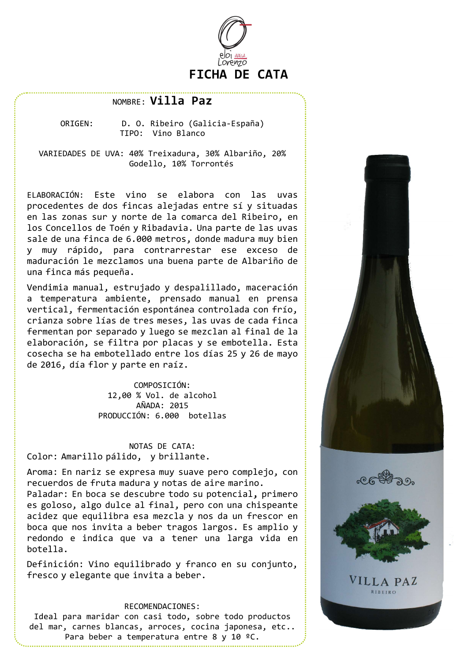

# NOMBRE: Villa Paz

ORIGEN: D. O. Ribeiro (Galicia-España) TIPO: Vino Blanco

VARIEDADES DE UVA: 40% Treixadura, 30% Albariño, 20% Godello, 10% Torrontés

ELABORACIÓN: Este vino se elabora con las uvas procedentes de dos fincas alejadas entre sí y situadas en las zonas sur y norte de la comarca del Ribeiro, en los Concellos de Toén y Ribadavia. Una parte de las uvas sale de una finca de 6.000 metros, donde madura muy bien y muy rápido, para contrarrestar ese exceso de maduración le mezclamos una buena parte de Albariño de una finca más pequeña.

Vendimia manual, estrujado y despalillado, maceración a temperatura ambiente, prensado manual en prensa vertical, fermentación espontánea controlada con frío, crianza sobre lías de tres meses, las uvas de cada finca fermentan por separado y luego se mezclan al final de la elaboración, se filtra por placas y se embotella. Esta cosecha se ha embotellado entre los días 25 y 26 de mayo de 2016, día flor y parte en raíz.

> COMPOSICIÓN: 12,00 % Vol. de alcohol AÑADA: 2015 PRODUCCIÓN: 6.000 botellas

## NOTAS DE CATA: Color: Amarillo pálido, y brillante.

Aroma: En nariz se expresa muy suave pero complejo, con recuerdos de fruta madura y notas de aire marino.

es goloso, algo dulce al final, pero con una chispeante acidez que equilibra esa mezcla y nos da un frescor en boca que nos invita a beber tragos largos. Es amplio y redondo e indica que va a tener una larga vida en botella.

Definición: Vino equilibrado y franco en su conjunto, fresco y elegante que invita a beber.

#### RECOMENDACIONES:

Ideal para maridar con casi todo, sobre todo productos del mar, carnes blancas, arroces, cocina japonesa, etc.. Para beber a temperatura entre 8 y 10 ºC.



VILLA PAZ RIBEIRO